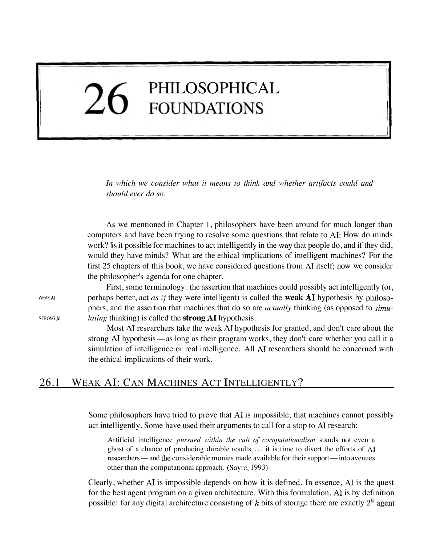# PHILOSOPHICAL 26 **FOUNDATIONS**

*In which we consider what it means to think and whether artifacts could and should ever do so.* 

As we mentioned in Chapter 1, philosophers have been around for much longer than computers and have been trying to resolve some questions that relate to AT: How do minds work? Is it possible for machines to act intelligently in the way that people do, and if they did, would they have minds? What are the ethical implications of intelligent machines? For the first 25 chapters of this book, we have considered questions from A1 itself; now we consider the philosopher's agenda for one chapter.

First, some terminology: the assertion that machines could possibly act intelligently (or, WEAK **AI** perhaps better, act *as if* they were intelligent) is called the **weak A1** hypothesis by philosophers, and the assertion that machines that do so are *actually* thinking (as opposed to *simu-*STRONG **AI** *lating* thinking) is called the **strong A1** hypothesis.

Most A1 researchers take the weak A1 hypothesis for granted, and don't care about the lating thinking) is called the **strong A1** hypothesis.<br>Most AI researchers take the weak AI hypothesis for granted, and don't care about the<br>strong AI hypothesis—as long as their program works, they don't care whether you simulation of intelligence or real intelligence. All **A1** researchers should be concerned with the ethical implications of their work.

## 26.1 WEAK AI: CAN MACHINES ACT INTELLIGENTLY?

Some philosophers have tried to prove that A1 is impossible; that machines cannot possibly act intelligently. Some have used their arguments to call for a stop to A1 research:

Artificial intelligence *pursued within the cult of cornputationalism* stands not even a ghost of a chance of producing durable results . . . it is time to divert the efforts of **A1**  Artificial intelligence *pursued within the cult of cornputationalism* stands not even a ghost of a chance of producing durable results ... it is time to divert the efforts of AI researchers—and the considerable monies mad other than the computational approach. (Sayre, 1993)

Clearly, whether A1 is impossible depends on how it is defined. In essence, A1 is the quest for the best agent program on a given architecture. With this formulation, A1 is by definition possible: for any digital architecture consisting of  $k$  bits of storage there are exactly  $2^k$  agent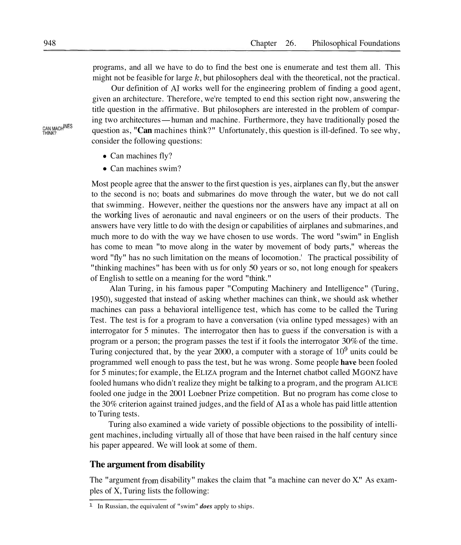programs, and all we have to do to find the best one is enumerate and test them all. This might not be feasible for large  $k$ , but philosophers deal with the theoretical, not the practical.

Our definition of A1 works well for the engineering problem of finding a good agent, given an architecture. Therefore, we're tempted to end this section right now, answering the title question in the affirmative. But philosophers are interested in the problem of compargiven an architecture. I herefore, we're tempted to end this section right now, answering the<br>title question in the affirmative. But philosophers are interested in the problem of compar-<br>ing two architectures—human and mac EAN MACH<sup>INES</sup> question as, "**Can** machines think?" Unfortunately, this question is ill-defined. To see why, consider the following questions:

- Can machines fly?
- Can machines swim?

Most people agree that the answer to the first question is yes, airplanes can fly, but the answer to the second is no; boats and submarines do move through the water, but we do not call that swimming. However, neither the questions nor the answers have any impact at all on the working lives of aeronautic and naval engineers or on the users of their products. The answers have very little to do with the design or capabilities of airplanes and submarines, and much more to do with the way we have chosen to use words. The word "swim" in English has come to mean "to move along in the water by movement of body parts," whereas the word "fly" has no such limitation on the means of locomotion.' The practical possibility of "thinking machines" has been with us for only 50 years or so, not long enough for speakers of English to settle on a meaning for the word "think."

Alan Turing, in his famous paper "Computing Machinery and Intelligence" (Turing, 1950), suggested that instead of asking whether machines can think, we should ask whether machines can pass a behavioral intelligence test, which has come to be called the Turing Test. The test is for a program to have a conversation (via online typed messages) with an interrogator for 5 minutes. The interrogator then has to guess if the conversation is with a program or a person; the program passes the test if it fools the interrogator 30% of the time. Turing conjectured that, by the year 2000, a computer with a storage of  $10<sup>9</sup>$  units could be programmed well enough to pass the test, but he was wrong. Some people **have** been fooled for 5 minutes; for example, the ELIZA program and the Internet chatbot called MGONZ have fooled humans who didn't realize they might be talking to a program, and the program ALICE fooled one judge in the 2001 Loebner Prize competition. But no program has come close to the 30% criterion against trained judges, and the field of **A1** as a whole has paid little attention to Turing tests.

Turing also examined a wide variety of possible objections to the possibility of intelligent machines, including virtually all of those that have been raised in the half century since his paper appeared. We will look at some of them.

### **The argument from disability**

The "argument from disability" makes the claim that "a machine can never do X." As examples of X, Turing lists the following:

In Russian, the equivalent of "swim" *does* apply to ships.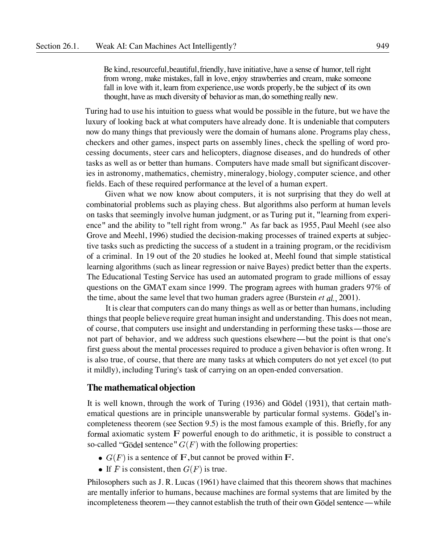Be kind, resourceful, beautiful, friendly, have initiative, have a sense of humor, tell right from wrong, make mistakes, fall in love, enjoy strawberries and cream, make someone fall in love with it, learn from experience, use words properly, be the subject of its own thought, have as much diversity of behavior as man, do something really new.

Turing had to use his intuition to guess what would be possible in the future, but we have the luxury of looking back at what computers have already done. It is undeniable that computers now do many things that previously were the domain of humans alone. Programs play chess, checkers and other games, inspect parts on assembly lines, check the spelling of word processing documents, steer cars and helicopters, diagnose diseases, and do hundreds of other tasks as well as or better than humans. Computers have made small but significant discoveries in astronomy, mathematics, chemistry, mineralogy, biology, computer science, and other fields. Each of these required performance at the level of a human expert.

Given what we now know about computers, it is not surprising that they do well at combinatorial problems such as playing chess. But algorithms also perform at human levels on tasks that seemingly involve human judgment, or as Turing put it, "learning from experience" and the ability to "tell right from wrong." As far back as 1955, Paul Meehl (see also Grove and Meehl, 1996) studied the decision-making processes of trained experts at subjective tasks such as predicting the success of a student in a training program, or the recidivism of a criminal. In 19 out of the 20 studies he looked at, Meehl found that simple statistical learning algorithms (such as linear regression or naive Bayes) predict better than the experts. The Educational Testing Service has used an automated program to grade millions of essay questions on the GMAT exam since 1999. The program agrees with human graders 97% of the time, about the same level that two human graders agree (Burstein *et al.,* 2001).

It is clear that computers can do many things as well as or better than humans, including things that people believe require great human insight and understanding. This does not mean, It is clear that computers can do many things as well as or better than humans, including<br>things that people believe require great human insight and understanding. This does not mean,<br>of course, that computers use insight of course, that computers use insight and understanding in performing these tasks—those are not part of behavior, and we address such questions elsewhere—but the point is that one's first guess about the mental processes required to produce a given behavior is often wrong. It is also true, of course, that there are many tasks at whlch computers do not yet excel (to put it mildly), including Turing's task of carrying on an open-ended conversation.

### **The mathematical objection**

It is well known, through the work of Turing (1936) and Godel (1931), that certain mathematical questions are in principle unanswerable by particular formal systems. Gödel's incompleteness theorem (see Section 9.5) is the most famous example of this. Briefly, for any formal axiomatic system F powerful enough to do arithmetic, it is possible to construct a so-called "Gödel sentence"  $G(F)$  with the following properties:

- $G(F)$  is a sentence of F, but cannot be proved within F.
- If *F* is consistent, then  $G(F)$  is true.

Philosophers such as J. R. Lucas (1961) have claimed that this theorem shows that machines are mentally inferior to humans, because machines are formal systems that are limited by the Philosophers such as J. R. Lucas (1961) have claimed that this theorem shows that machines<br>are mentally inferior to humans, because machines are formal systems that are limited by the<br>incompleteness theorem—they cannot est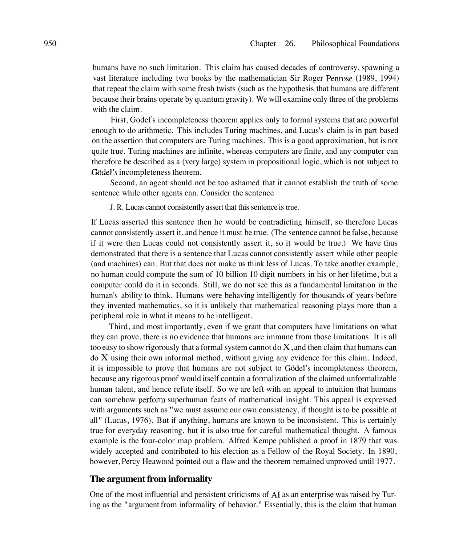humans have no such limitation. This claim has caused decades of controversy, spawning a vast literature including two books by the mathematician Sir Roger Penrose (1989, 1994) that repeat the claim with some fresh twists (such as the hypothesis that humans are different because their brains operate by quantum gravity). We will examine only three of the problems with the claim.

First, Godel's incompleteness theorem applies only to formal systems that are powerful enough to do arithmetic. This includes Turing machines, and Lucas's claim is in part based on the assertion that computers are Turing machines. This is a good approximation, but is not quite true. Turing machines are infinite, whereas computers are finite, and any computer can therefore be described as a (very large) system in propositional logic, which is not subject to Gödel's incompleteness theorem.

Second, an agent should not be too ashamed that it cannot establish the truth of some sentence while other agents can. Consider the sentence

J. R. Lucas cannot consistently assert that this sentence is true.

If Lucas asserted this sentence then he would be contradicting himself, so therefore Lucas cannot consistently assert it, and hence it must be true. (The sentence cannot be false, because if it were then Lucas could not consistently assert it, so it would be true.) We have thus demonstrated that there is a sentence that Lucas cannot consistently assert while other people (and machines) can. But that does not make us think less of Lucas. To take another example, no human could compute the sum of 10 billion 10 digit numbers in his or her lifetime, but a computer could do it in seconds. Still, we do not see this as a fundamental limitation in the human's ability to think. Humans were behaving intelligently for thousands of years before they invented mathematics, so it is unlikely that mathematical reasoning plays more than a peripheral role in what it means to be intelligent.

Third, and most importantly, even if we grant that computers have limitations on what they can prove, there is no evidence that humans are immune from those limitations. It is all too easy to show rigorously that a formal system cannot do  $X$ , and then claim that humans can do X using their own informal method, without giving any evidence for this claim. Indeed, it is impossible to prove that humans are not subject to Gödel's incompleteness theorem, because any rigorous proof would itself contain a formalization of the claimed unformalizable human talent, and hence refute itself. So we are left with an appeal to intuition that humans can somehow perform superhuman feats of mathematical insight. This appeal is expressed with arguments such as "we must assume our own consistency, if thought is to be possible at all" (Lucas, 1976). But if anything, humans are known to be inconsistent. This is certainly true for everyday reasoning, but it is also true for careful mathematical thought. A famous example is the four-color map problem. Alfred Kempe published a proof in 1879 that was widely accepted and contributed to his election as a Fellow of the Royal Society. In 1890, however, Percy Heawood pointed out a flaw and the theorem remained unproved until 1977.

#### **The argument from informality**

One of the most influential and persistent criticisms of A1 as an enterprise was raised by Turing as the "argument from informality of behavior." Essentially, this is the claim that human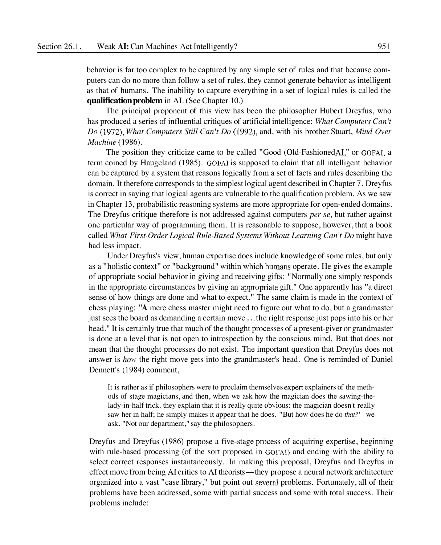behavior is far too complex to be captured by any simple set of rules and that because computers can do no more than follow a set of rules, they cannot generate behavior as intelligent as that of humans. The inability to capture everything in a set of logical rules is called the **qualification problem** in AI. (See Chapter 10.)

The principal proponent of this view has been the philosopher Hubert Dreyfus, who has produced a series of influential critiques of artificial intelligence: *What Computers Can't Do* (1972), *What Computers Still Can't Do* (1992), and, with his brother Stuart, *Mind Over Machine* (1986).

The position they criticize came to be called "Good (Old-Fashioned **AI**," or GOFAI, a term coined by Haugeland (1985). GOFAI is supposed to claim that all intelligent behavior can be captured by a system that reasons logically from a set of facts and rules describing the domain. It therefore corresponds to the simplest logical agent described in Chapter 7. Dreyfus is correct in saying that logical agents are vulnerable to the qualification problem. As we saw in Chapter 13, probabilistic reasoning systems are more appropriate for open-ended domains. The Dreyfus critique therefore is not addressed against computers *per se,* but rather against one particular way of programming them. It is reasonable to suppose, however, that a book called *What First-Order Logical Rule-Based Systems Without Learning Can't Do* might have had less impact.

Under Dreyfus's view, human expertise does include knowledge of some rules, but only as a "holistic context" or "background" within which humans operate. He gives the example of appropriate social behavior in giving and receiving gifts: "Normally one simply responds in the appropriate circumstances by giving an appropriate gift." One apparently has "a direct sense of how things are done and what to expect." The same claim is made in the context of chess playing: **"A** mere chess master might need to figure out what to do, but a grandmaster just sees the board as demanding a certain move . . .the right response just pops into his or her head." It is certainly true that much of the thought processes of a present-giver or grandmaster is done at a level that is not open to introspection by the conscious mind. But that does not mean that the thought processes do not exist. The important question that Dreyfus does not answer is *how* the right move gets into the grandmaster's head. One is reminded of Daniel Dennett's (1984) comment,

It is rather as if philosophers were to proclaim themselves expert explainers of the methods of stage magicians, and then, when we ask how the magician does the sawing-thelady-in-half trick. they explain that it is really quite obvious: the magician doesn't really saw her in half; he simply makes it appear that he does. "But how does he do *that?'* we ask. "Not our department," say the philosophers.

Dreyfus and Dreyfus (1986) propose a five-stage process of acquiring expertise, beginning with rule-based processing (of the sort proposed in GOFAI) and ending with the ability to select correct responses instantaneously. In making this proposal, Dreyfus and Dreyfus in effect move from being A1 critics to **A1** theorists-they propose a neural network architecture organized into a vast "case library," but point out several problems. Fortunately, all of their problems have been addressed, some with partial success and some with total success. Their problems include: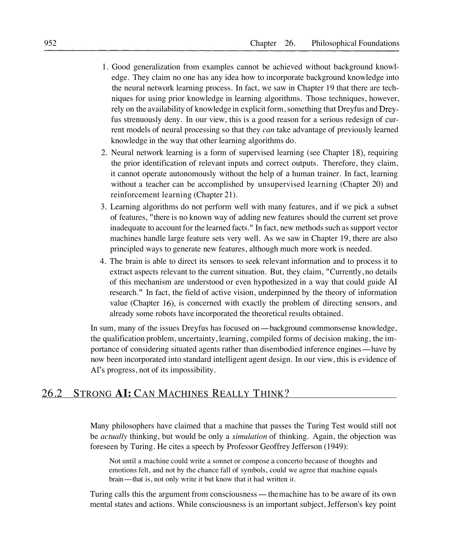- 1. Good generalization from examples cannot be achieved without background knowledge. They claim no one has any idea how to incorporate background knowledge into the neural network learning process. In fact, we saw in Chapter 19 that there are techniques for using prior knowledge in learning algorithms. Those techniques, however, rely on the availability of knowledge in explicit form, something that Dreyfus and Dreyfus strenuously deny. In our view, this is a good reason for a serious redesign of current models of neural processing so that they *can* take advantage of previously learned knowledge in the way that other learning algorithms do.
- 2. Neural network learning is a form of supervised learning (see Chapter 18), requiring the prior identification of relevant inputs and correct outputs. Therefore, they claim, it cannot operate autonomously without the help of a human trainer. In fact, learning without a teacher can be accomplished by unsupervised learning (Chapter 20) and reinforcement learning (Chapter 21).
- 3. Learning algorithms do not perform well with many features, and if we pick a subset of features, "there is no known way of adding new features should the current set prove inadequate to account for the learned facts." In fact, new methods such as support vector machines handle large feature sets very well. As we saw in Chapter 19, there are also principled ways to generate new features, although much more work is needed.
- 4. The brain is able to direct its sensors to seek relevant information and to process it to extract aspects relevant to the current situation. But, they claim, "Currently, no details of this mechanism are understood or even hypothesized in a way that could guide **A1**  research." In fact, the field of active vision, underpinned by the theory of information value (Chapter 16), is concerned with exactly the problem of directing sensors, and already some robots have incorporated the theoretical results obtained.

In sum, many of the issues Dreyfus has focused on—background commonsense knowledge, the qualification problem, uncertainty, learning, compiled forms of decision making, the im-In sum, many or the issues Dreyrus has rocused on—background commonsense knowledge,<br>the qualification problem, uncertainty, learning, compiled forms of decision making, the im-<br>portance of considering situated agents rathe now been incorporated into standard intelligent agent design. In our view, this is evidence of AI's progress, not of its impossibility.

### 26.2 STRONG **AI:** CAN MACHINES REALLY THINK?

Many philosophers have claimed that a machine that passes the Turing Test would still not be *actually* thinking, but would be only a *simulation* of thinking. Again, the objection was foreseen by Turing. He cites a speech by Professor Geoffrey Jefferson (1949):

Not until a machine could write a sonnet or compose a concerto because of thoughts and emotions felt, and not by the chance fall of symbols, could we agree that machine equals brain-that is, not only write it but know that it had written it.

Turing calls this the argument from consciousness—the machine has to be aware of its own mental states and actions. While consciousness is an important subject, Jefferson's key point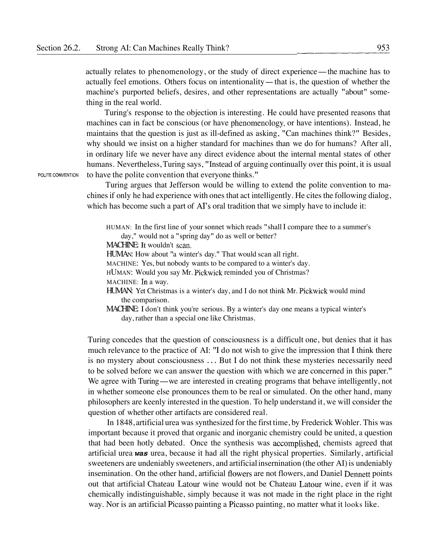actually relates to phenomenology, or the study of direct experience—the machine has to actually feel emotions. Others focus on intentionality—that is, the question of whether the machine's purported beliefs, desires, and other representations are actually "about" something in the real world.

Turing's response to the objection is interesting. He could have presented reasons that machines can in fact be conscious (or have phenomenology, or have intentions). Instead, he maintains that the question is just as ill-defined as asking, "Can machines think?" Besides, why should we insist on a higher standard for machines than we do for humans? After all, in ordinary life we never have any direct evidence about the internal mental states of other humans. Nevertheless, Turing says, "Instead of arguing continually over this point, it is usual POLITE CONVENTION to have the polite convention that everyone thinks."

Turing argues that Jefferson would be willing to extend the polite convention to machines if only he had experience with ones that act intelligently. He cites the following dialog, which has become such a part of AI's oral tradition that we simply have to include it:

HUMAN: In the first line of your sonnet which reads "shall I compare thee to a summer's day," would not a "spring day" do as well or better? MACHINE: It wouldn't scan.

HUMAN: How about "a winter's day." That would scan all right.

MACHINE: Yes, but nobody wants to be compared to a winter's day.

HUMAN: Would you say Mr. Pickwick reminded you of Christmas?

MACHINE: In a way.

HUMAN: Yet Christmas is a winter's day, and I do not think Mr. Pickwick would mind the comparison.

MACHINE: I don't think you're serious. By a winter's day one means a typical winter's day, rather than a special one like Christmas.

Turing concedes that the question of consciousness is a difficult one, but denies that it has much relevance to the practice of AI: "I do not wish to give the impression that I think there is no mystery about consciousness . . . But I do not think these mysteries necessarily need Is no mystery about consciousness ... But I do not think these mysteries necessarily need<br>to be solved before we can answer the question with which we are concerned in this paper."<br>We agree with Turing—we are interested in in whether someone else pronounces them to be real or simulated. On the other hand, many philosophers are keenly interested in the question. To help understand it, we will consider the question of whether other artifacts are considered real.

In 1848, artificial urea was synthesized for the first time, by Frederick Wohler. This was important because it proved that organic and inorganic chemistry could be united, a question that had been hotly debated. Once the synthesis was accomnplished, chemists agreed that artificial urea *was* urea, because it had all the right physical properties. Similarly, artificial sweeteners are undeniably sweeteners, and artificial insernination (the other AI) is undeniably insemination. On the other hand, artificial flowers are not flowers, and Daniel Dennett points out that artificial Chateau Latour wine would not be Chateau Latour wine, even if it was chemically indistinguishable, simply because it was not made in the right place in the right way. Nor is an artificial Picasso painting a Picasso painting, no matter what it looks like.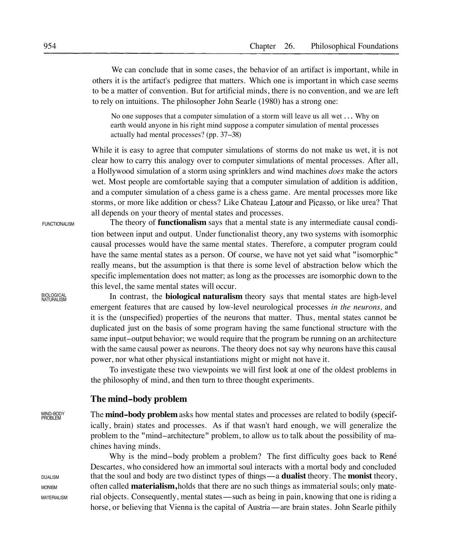We can conclude that in some cases, the behavior of an artifact is important, while in others it is the artifact's pedigree that matters. Which one is important in which case seems to be a matter of convention. But for artificial minds, there is no convention, and we are left to rely on intuitions. The philosopher John Searle (1980) has a strong one:

No one supposes that a computer simulation of a storm will leave us all wet . . . Why on earth would anyone in his right mind suppose a computer simulation of mental processes actually had mental processes? (pp. 37-38)

While it is easy to agree that computer simulations of storms do not make us wet, it is not clear how to carry this analogy over to computer simulations of mental processes. After all, a Hollywood simulation of a storm using sprinklers and wind machines *does* make the actors wet. Most people are comfortable saying that a computer simulation of addition is addition, and a computer simulation of a chess game is a chess game. Are mental processes more like storms, or more like addition or chess? Like Chateau Latour and Picasso, or like urea? That all depends on your theory of mental states and processes.

BIOLOGICAL<br>NATURALISM

FUNCTIONALISM The theory of **functionalism** says that a mental state is any intermediate causal condition between input and output. Under functionalist theory, any two systems with isomorphic causal processes would have the same mental states. Therefore, a computer program could have the same mental states as a person. Of course, we have not yet said what "isomorphic" really means, but the assumption is that there is some level of abstraction below which the specific implementation does not matter; as long as the processes are isomorphic down to the this level, the same mental states will occur.

> In contrast, the **biological naturalism** theory says that mental states are high-level emergent features that are caused by low-level neurological processes *in the neurons,* and it is the (unspecified) properties of the neurons that matter. Thus, mental states cannot be duplicated just on the basis of some program having the same functional structure with the same input-output behavior; we would require that the program be running on an architecture with the same causal power as neurons. The theory does not say why neurons have this causal power, nor what other physical instantiations might or might not have it.

> To investigate these two viewpoints we will first look at one of the oldest problems in the philosophy of mind, and then turn to three thought experiments.

### **The mind-body problem**

MIND-BODY<br>PROBLEM

The **mind-body problem** asks how mental states and processes are related to bodily (specifically, brain) states and processes. As if that wasn't hard enough, we will generalize the problem to the "mind-architecture" problem, to allow us to talk about the possibility of machines having minds.

Why is the mind-body problem a problem? The first difficulty goes back to René Descartes, who considered how an immortal soul interacts with a mortal body and concluded DUALISM that the soul and body are two distinct types of things-a **dualist** theory. The **monist** theory, often called **materialism**, holds that there are no such things as immaterial souls; only mate-DUALISM that the soul and body are two distinct types of things—a **dualist** theory. The **monist** theory,<br>
MATERIALISM often called **materialism**, holds that there are no such things as immaterial souls; only material of th often called **materialism**, holds that there are no such things as immaterial souls; only mate-<br>rial objects. Consequently, mental states—such as being in pain, knowing that one is riding a<br>horse, or believing that Vienna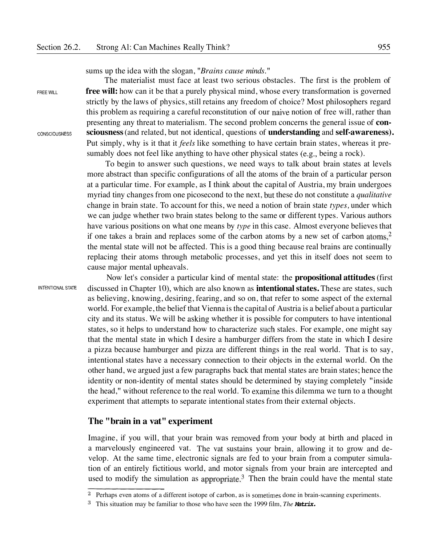sums up the idea with the slogan, *"Brains cause minds."* 

The materialist must face at least two serious obstacles. The first is the problem of FREE WILL **free will:** how can it be that a purely physical mind, whose every transformation is governed strictly by the laws of physics, still retains any freedom of choice? Most philosophers regard this problem as requiring a careful reconstitution of our naive notion of free will, rather than presenting any threat to materialism. The second problem concerns the general issue of **con-**CONSCIOUSNE~S **sciousness** (and related, but not identical, questions of **understanding** and **self-awareness).**  Put simply, why is it that it *feels* like something to have certain brain states, whereas it presumably does not feel like anything to have other physical states (e.g., being a rock).

> To begin to answer such questions, we need ways to talk about brain states at levels more abstract than specific configurations of all the atoms of the brain of a particular person at a particular time. For example, as I think about the capital of Austria, my brain undergoes myriad tiny changes from one picosecond to the next, but these do not constitute a *qualitative*  change in brain state. To account for this, we need a notion of brain state *types,* under which we can judge whether two brain states belong to the same or different types. Various authors have various positions on what one means by *type* in this case. Almost everyone believes that if one takes a brain and replaces some of the carbon atoms by a new set of carbon atoms, $2$ the mental state will not be affected. This is a good thing because real brains are continually replacing their atoms through metabolic processes, and yet this in itself does not seem to cause major mental upheavals.

Now let's consider a particular kind of mental state: the **propositional attitudes** (first INTENTIONALSTATE discussed in Chapter lo), which are also known as **intentional states.** These are states, such as believing, knowing, desiring, fearing, and so on, that refer to some aspect of the external world. For example, the belief that Vienna is the capital of Austria is a belief about a particular city and its status. We will be asking whether it is possible for computers to have intentional states, so it helps to understand how to characterize such stales. For example, one might say that the mental state in which I desire a hamburger differs from the state in which I desire a pizza because hamburger and pizza are different things in the real world. That is to say, intentional states have a necessary connection to their objects in the external world. On the other hand, we argued just a few paragraphs back that mental states are brain states; hence the identity or non-identity of mental states should be determined by staying completely "inside the head," without reference to the real world. To examine this dilemma we turn to a thought experiment that attempts to separate intentional states from their external objects.

### **The "brain in a vat" experiment**

Imagine, if you will, that your brain was removed from your body at birth and placed in a marvelously engineered vat. The vat sustains your brain, allowing it to grow and develop. At the same time, electronic signals are fed to your brain from a computer simulation of an entirely fictitious world, and motor signals from your brain are intercepted and used to modify the simulation as appropriate.<sup>3</sup> Then the brain could have the mental state

 $P^2$  Perhaps even atoms of a different isotope of carbon, as is sometimes done in brain-scanning experiments.

This situation may be familiar to those who have seen the 1999 film, *The Matrix.*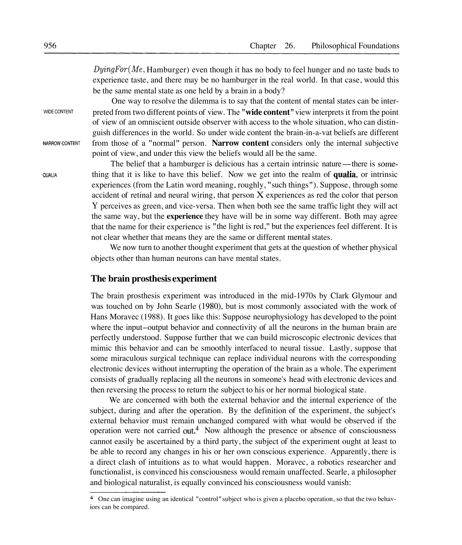*DyingFor(Me, Hamburger)* even though it has no body to feel hunger and no taste buds to experience taste, and there may be no hamburger in the real world. In that case, would this be the same mental state as one held by a brain in a body?

One way to resolve the dilemma is to say that the content of mental states can be inter-WIDE CONTENT preted from two different points of view. The **"wide content"** view interprets it from the point of view of an omniscient outside observer with access to the whole situation, who can distinguish differences in the world. So under wide content the brain-in-a-vat beliefs are different NARROWCONTENT from those of a "normal" person. **Narrow content** considers only the internal subjective point of view, and under this view the beliefs would all be the same.

The belief that a hamburger is delicious has a certain intrinsic nature—there is some-QUALIA thing that it is like to have this belief. Now we get into the realm of **qualia,** or intrinsic experiences (from the Latin word meaning, roughly, "such things"). Suppose, through some accident of retinal and neural wiring, that person X experiences as red the color that person Y perceives as green, and vice-versa. Then when both see the same traffic light they will act the same way, but the **experience** they have will be in some way different. Both may agree that the name for their experience is "the light is red," but the experiences feel different. It is not clear whether that means they are the same or different mental states.

> We now turn to another thought experiment that gets at the question of whether physical objects other than human neurons can have mental states.

### **The brain prosthesis experiment**

The brain prosthesis experiment was introduced in the mid-1970s by Clark Glymour and was touched on by John Searle (1980), but is most commonly associated with the work of Hans Moravec (1988). It goes like this: Suppose neurophysiology has developed to the point where the input-output behavior and connectivity of all the neurons in the human brain are perfectly understood. Suppose further that we can build microscopic electronic devices that mimic this behavior and can be smoothly interfaced to neural tissue. Lastly, suppose that some miraculous surgical technique can replace individual neurons with the corresponding electronic devices without interrupting the operation of the brain as a whole. The experiment consists of gradually replacing all the neurons in someone's head with electronic devices and then reversing the process to return the subject to his or her normal biological state.

We are concerned with both the external behavior and the internal experience of the subject, during and after the operation. By the definition of the experiment, the subject's external behavior must remain unchanged compared with what would be observed if the operation were not carried out, $4$  Now although the presence or absence of consciousness cannot easily be ascertained by a third party, the subject of the experiment ought at least to be able to record any changes in his or her own conscious experience. Apparently, there is a direct clash of intuitions as to what would happen. Moravec, a robotics researcher and functionalist, is convinced his consciousness would remain unaffected. Searle, a philosopher and biological naturalist, is equally convinced his consciousness would vanish:

<sup>&</sup>lt;sup>4</sup> One can imagine using an identical "control" subject who is given a placebo operation, so that the two behaviors can be compared.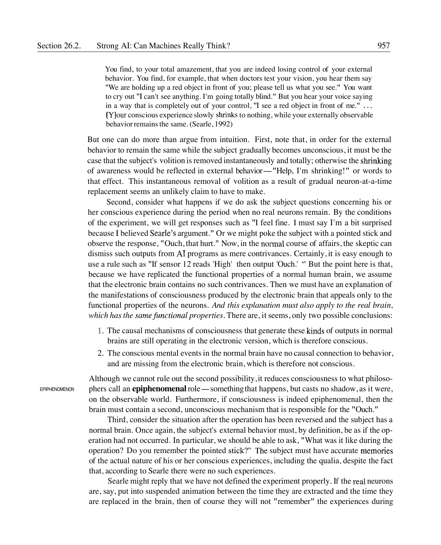You find, to your total amazement, that you are indeed losing control of your external behavior. You find, for example, that when doctors test your vision, you hear them say "We are holding up a red object in front of you; please tell us what you see." You want to cry out "I can't see anything. I'm going totally blind." But you hear your voice saying in a way that is completely out of your control, "I see a red object in front of me." . . . [Y] our conscious experience slowly shrinks to nothing, while your externally observable behavior remains the same. (Searle, 1992)

But one can do more than argue from intuition. First, note that, in order for the external behavior to remain the same while the subject gradually becomes unconscious, it must be the case that the subject's volition is removed instantaneously and totally; otherwise the shrinking behavior to remain the same while the subject gradually becomes unconscious, it must be the<br>case that the subject's volition is removed instantaneously and totally; otherwise the shrinking<br>of awareness would be reflected i that effect. This instantaneous removal of volition as a result of gradual neuron-at-a-time replacement seems an unlikely claim to have to make.

Second, consider what happens if we do ask the subject questions concerning his or her conscious experience during the period when no real neurons remain. By the conditions of the experiment, we will get responses such as "1 feel fine. 1 must say I'm a bit surprised because I believed Searle's argument." Or we might poke the subject with a pointed stick and observe the response, "Ouch, that hurt." Now, in the normal course of affairs, the skeptic can dismiss such outputs from A1 programs as mere contrivances. Certainly, it is easy enough to use a rule such as "If sensor 12 reads 'High' then output 'Ouch.' " But the point here is that, because we have replicated the functional properties of a normal human brain, we assume that the electronic brain contains no such contrivances. Then we must have an explanation of the manifestations of consciousness produced by the electronic brain that appeals only to the functional properties of the neurons. *And this explanation must also apply to the real brain, which has the same functional properties.* There are, it seems, only two possible conclusions:

- I!. The causal mechanisms of consciousness that generate these kinds of outputs in normal brains are still operating in the electronic version, which is therefore conscious.
- 2. The conscious mental events in the normal brain have no causal connection to behavior, and are missing from the electronic brain, which is therefore not conscious.

Although we cannot rule out the second possibility, it reduces consciousness to what philoso-Although we cannot rule out the second possibility, it reduces consciousness to what philosophers call an **epiphenomenal** role—something that happens, but casts no shadow, as it were, on the observable world. Eurthermore, on the observable world. Furthermore, if consciousness is indeed epiphenomenal, then the brain must contain a second, unconscious mechanism that is responsible for the "Ouch."

> Third, consider the situation after the operation has been reversed and the subject has a normal brain. Once again, the subject's external behavior must, by definition, be as if the operation had not occurred. In particular, we should be able to ask, "What was it like during the operation? Do you remember the pointed stick?" The subject must have accurate memories of the actual nature of his or her conscious experiences, including the qualia, despite the fact that, according to Searle there were no such experiences.

> Searle might reply that we have not defined the experiment properly. If the real neurons are, say, put into suspended animation between the time they are extracted and the time they are replaced in the brain, then of course they will not "remember" the experiences during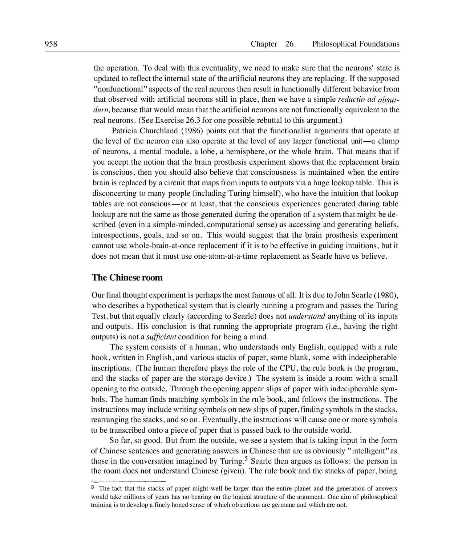the operation. To deal with this eventuality, we need to make sure that the neurons' state is updated to reflect the internal state of the artificial neurons they are replacing. If the supposed "nonfunctional" aspects of the real neurons then result in functionally different behavior from that observed with artificial neurons still in place, then we have a simple *reductio ad absurdurn,* because that would mean that the artificial neurons are not functionally equivalent to the real neurons. (See Exercise 26.3 for one possible rebuttal to this argument.)

Patricia Churchland (1986) points out that the functionalist arguments that operate at the level of the neuron can also operate at the level of any larger functional unit-a clump of neurons, a mental module, a lobe, a hemisphere, or the whole brain. That means that if you accept the notion that the brain prosthesis experiment shows that the replacement brain is conscious, then you should also believe that consciousness is maintained when the entire brain is replaced by a circuit that maps from inputs to outputs via a huge lookup table. This is disconcerting to many people (including Turing himself), who have the intuition that lookup brain is replaced by a circuit that maps from inputs to outputs via a huge lookup table. This is<br>disconcerting to many people (including Turing himself), who have the intuition that lookup<br>tables are not conscious—or at le lookup are not the same as those generated during the operation of a system that might be described (even in a simple-minded, computational sense) as accessing and generating beliefs, introspections, goals, and so on. This would suggest that the brain prosthesis experiment cannot use whole-brain-at-once replacement if it is to be effective in guiding intuitions, but it does not mean that it must use one-atom-at-a-time replacement as Searle have us believe.

### **The Chinese room**

Our final thought experiment is perhaps the most famous of all. It is due to John Searle (1980), who describes a hypothetical system that is clearly running a program and passes the Turing Test, but that equally clearly (according to Searle) does not *understand* anything of its inputs and outputs. His conclusion is that running the appropriate program (i.e., having the right outputs) is not a *suficient* condition for being a mind.

The system consists of a human, who understands only English, equipped with a rule book, written in English, and various stacks of paper, some blank, some with indecipherable inscriptions. (The human therefore plays the role of the CPU, the rule book is the program, and the stacks of paper are the storage device.) The system is inside a room with a small opening to the outside. Through the opening appear slips of paper with indecipherable symbols. The human finds matching symbols in the rule book, and follows the instructions. The instructions may include writing symbols on new slips of paper, finding symbols in the stacks, rearranging the stacks, and so on. Eventually, the instructions will cause one or more symbols to be transcribed onto a piece of paper that is passed back to the outside world.

So far, so good. But from the outside, we see a system that is taking input in the form of Chinese sentences and generating answers in Chinese that are as obviously "intelligent" as those in the conversation imagined by Turing.<sup>5</sup> Searle then argues as follows: the person in the room does not understand Chinese (given). The rule book and the stacks of paper, being  $\frac{1}{2}$ 

 $5$  The fact that the stacks of paper might well be larger than the entire planet and the generation of answers would take millions of years has no bearing on the logical structure of the argument. One aim of philosophical training is to develop a finely honed sense of which objections are germane and which are not.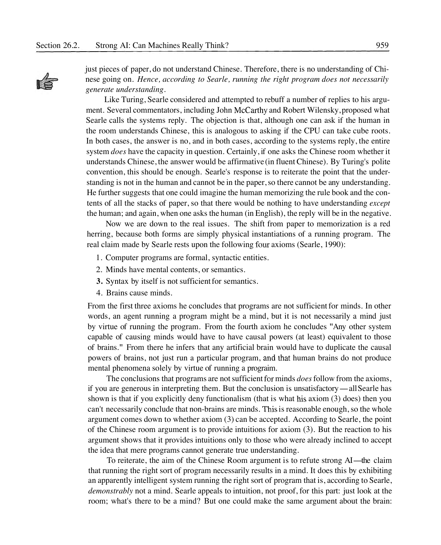

just pieces of paper, do not understand Chinese. Therefore, there is no understanding of Chinese going on. *Hence, according to Searle, running the right program does not necessarily generate understanding.* 

Like Turing, Searle considered and attempted to rebuff a number of replies to his argument. Several commentators, including John McCarthy and Robert Wilensky, proposed what Searle calls the systems reply. The objection is that, although one can ask if the human in the room understands Chinese, this is analogous to asking if the CPU can take cube roots. In both cases, the answer is no, and in both cases, according to the systems reply, the entire system *does* have the capacity in question. Certainly, if one asks the Chinese room whether it understands Chinese, the answer would be affirmative (in fluent Chinese). By Turing's polite convention, this should be enough. Searle's response is to reiterate the point that the understanding is not in the human and cannot be in the paper, so there cannot be any understanding. He further suggests that one could imagine the human memorizing the rule book and the contents of all the stacks of paper, so that there would be nothing to have understanding *except*  the human; and again, when one asks the human (in English), the reply will be in the negative.

Now we are down to the real issues. The shift from paper to memorization is a red herring, because both forms are simply physical instantiations of a running program. The real claim made by Searle rests upon the following four axioms (Searle, 1990):

- 1. Computer programs are formal, syntactic entities.
- 2. Minds have mental contents, or semantics.
- **3.** Syntax by itself is not sufficient for semantics.
- 4. Brains cause minds.

From the first three axioms he concludes that programs are not sufficient for minds. In other words, an agent running a program might be a mind, but it is not necessarily a mind just by virtue of running the program. From the fourth axiom he concludes "Any other system capable of causing minds would have to have causal powers (at least) equivalent to those of brains." From there he infers that any artificial brain would have to duplicate the causal powers of brains, not just run a particular program, and that human brains do not produce mental phenomena solely by virtue of running a prograim.

The conclusions that programs are not sufficient for minds *does* follow from the axioms, mental phenomena solely by virtue of running a program.<br>The conclusions that programs are not sufficient for minds *does* follow from the axioms,<br>if you are generous in interpreting them. But the conclusion is unsatisfacto shown is that if you explicitly deny functionalism (that is what his axiom (3) does) then you can't necessarily conclude that non-brains are minds. This is reasonable enough, so the whole argument comes down to whether axiom (3) can be accepted. According to Searle, the point of the Chinese room argument is to provide intuitions for axiom (3). But the reaction to his argument shows that it provides intuitions only to those who were already inclined to accept the idea that mere programs cannot generate true understanding.

To reiterate, the aim of the Chinese Room argument is to refute strong AI—the claim that running the right sort of program necessarily results in a mind. It does this by exhibiting an apparently intelligent system running the right sort of program that is, according to Searle, *demonstrably* not a mind. Searle appeals to intuition, not proof, for this part: just look at the room; what's there to be a mind? But one could make the same argument about the brain: